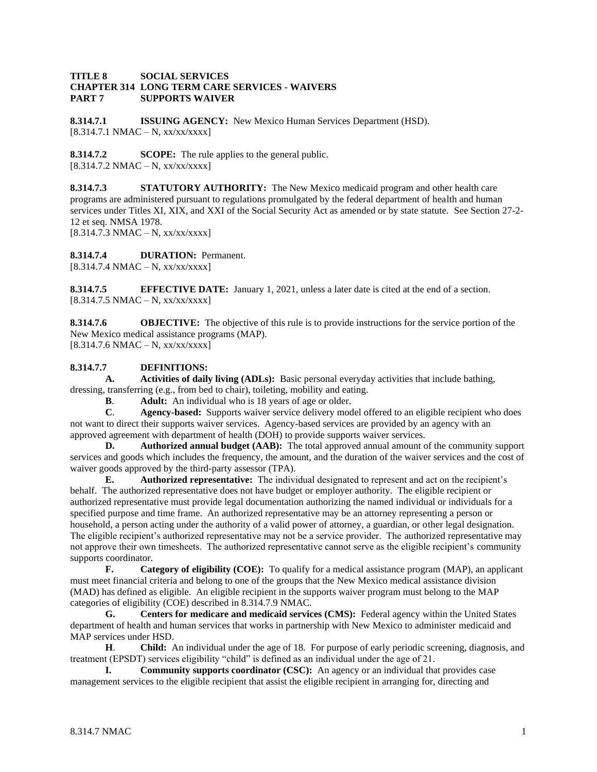### **TITLE 8 SOCIAL SERVICES CHAPTER 314 LONG TERM CARE SERVICES - WAIVERS PART 7 SUPPORTS WAIVER**

**8.314.7.1 ISSUING AGENCY:** New Mexico Human Services Department (HSD). [8.314.7.1 NMAC – N, xx/xx/xxxx]

**8.314.7.2 SCOPE:** The rule applies to the general public.  $[8.314.7.2 NMAC - N, xx/xx/xxxx]$ 

**8.314.7.3 STATUTORY AUTHORITY:** The New Mexico medicaid program and other health care programs are administered pursuant to regulations promulgated by the federal department of health and human services under Titles XI, XIX, and XXI of the Social Security Act as amended or by state statute. See Section 27-2- 12 et seq. NMSA 1978.  $[8.314.7.3 \text{ NMAC} - \text{N}, \frac{XX}{XX} \text{XXX}]$ 

**8.314.7.4 DURATION:** Permanent.  $[8.314.7.4 \text{ NMAC} - \text{N}, \frac{XX}{XX} \text{XXX}]$ 

**8.314.7.5 EFFECTIVE DATE:** January 1, 2021, unless a later date is cited at the end of a section.  $[8.314.7.5 NMAC - N, xx/xx/xxxx]$ 

**8.314.7.6 OBJECTIVE:** The objective of this rule is to provide instructions for the service portion of the New Mexico medical assistance programs (MAP).  $[8.314.7.6 \text{ NMAC} - \text{N}, \frac{XX}{XX} \text{XXX}]$ 

# **8.314.7.7 DEFINITIONS:**

**A. Activities of daily living (ADLs):** Basic personal everyday activities that include bathing, dressing, transferring (e.g., from bed to chair), toileting, mobility and eating.

**B**. **Adult:** An individual who is 18 years of age or older.

**C**. **Agency-based:** Supports waiver service delivery model offered to an eligible recipient who does not want to direct their supports waiver services. Agency-based services are provided by an agency with an approved agreement with department of health (DOH) to provide supports waiver services.

**D. Authorized annual budget (AAB):** The total approved annual amount of the community support services and goods which includes the frequency, the amount, and the duration of the waiver services and the cost of waiver goods approved by the third-party assessor (TPA).

**E. Authorized representative:** The individual designated to represent and act on the recipient's behalf. The authorized representative does not have budget or employer authority. The eligible recipient or authorized representative must provide legal documentation authorizing the named individual or individuals for a specified purpose and time frame. An authorized representative may be an attorney representing a person or household, a person acting under the authority of a valid power of attorney, a guardian, or other legal designation. The eligible recipient's authorized representative may not be a service provider. The authorized representative may not approve their own timesheets. The authorized representative cannot serve as the eligible recipient's community supports coordinator.

**F. Category of eligibility (COE):** To qualify for a medical assistance program (MAP), an applicant must meet financial criteria and belong to one of the groups that the New Mexico medical assistance division (MAD) has defined as eligible. An eligible recipient in the supports waiver program must belong to the MAP categories of eligibility (COE) described in 8.314.7.9 NMAC.

**G. Centers for medicare and medicaid services (CMS):** Federal agency within the United States department of health and human services that works in partnership with New Mexico to administer medicaid and MAP services under HSD.

**H**. **Child:** An individual under the age of 18. For purpose of early periodic screening, diagnosis, and treatment (EPSDT) services eligibility "child" is defined as an individual under the age of 21.

**I. Community supports coordinator (CSC):** An agency or an individual that provides case management services to the eligible recipient that assist the eligible recipient in arranging for, directing and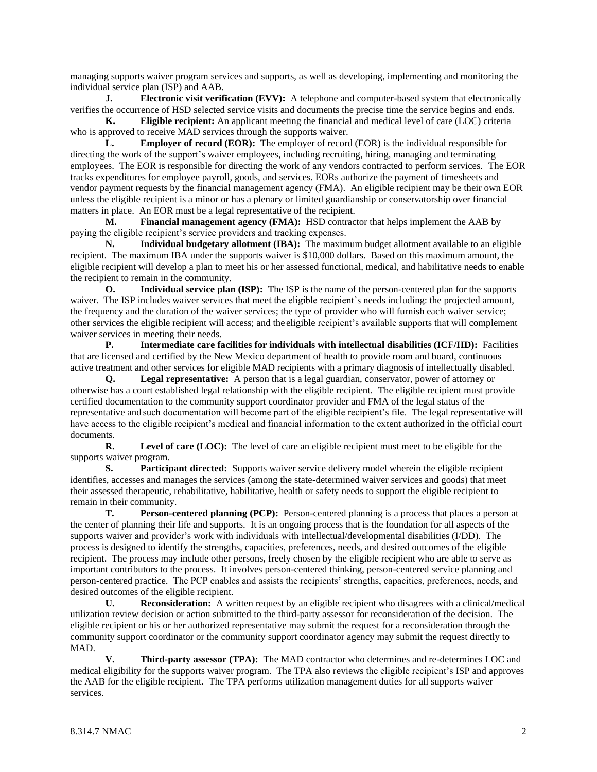managing supports waiver program services and supports, as well as developing, implementing and monitoring the individual service plan (ISP) and AAB.

**J. Electronic visit verification (EVV):** A telephone and computer-based system that electronically verifies the occurrence of HSD selected service visits and documents the precise time the service begins and ends.

**K. Eligible recipient:** An applicant meeting the financial and medical level of care (LOC) criteria who is approved to receive MAD services through the supports waiver.

**L. Employer of record (EOR):** The employer of record (EOR) is the individual responsible for directing the work of the support's waiver employees, including recruiting, hiring, managing and terminating employees. The EOR is responsible for directing the work of any vendors contracted to perform services. The EOR tracks expenditures for employee payroll, goods, and services. EORs authorize the payment of timesheets and vendor payment requests by the financial management agency (FMA). An eligible recipient may be their own EOR unless the eligible recipient is a minor or has a plenary or limited guardianship or conservatorship over financial matters in place. An EOR must be a legal representative of the recipient.

**M. Financial management agency (FMA):** HSD contractor that helps implement the AAB by paying the eligible recipient's service providers and tracking expenses.

**N. Individual budgetary allotment (IBA):** The maximum budget allotment available to an eligible recipient. The maximum IBA under the supports waiver is \$10,000 dollars. Based on this maximum amount, the eligible recipient will develop a plan to meet his or her assessed functional, medical, and habilitative needs to enable the recipient to remain in the community.

**O. Individual service plan (ISP):** The ISP is the name of the person-centered plan for the supports waiver. The ISP includes waiver services that meet the eligible recipient's needs including: the projected amount, the frequency and the duration of the waiver services; the type of provider who will furnish each waiver service; other services the eligible recipient will access; and the eligible recipient's available supports that will complement waiver services in meeting their needs.

**P. Intermediate care facilities for individuals with intellectual disabilities (ICF/IID):** Facilities that are licensed and certified by the New Mexico department of health to provide room and board, continuous active treatment and other services for eligible MAD recipients with a primary diagnosis of intellectually disabled.

**Q. Legal representative:** A person that is a legal guardian, conservator, power of attorney or otherwise has a court established legal relationship with the eligible recipient. The eligible recipient must provide certified documentation to the community support coordinator provider and FMA of the legal status of the representative and such documentation will become part of the eligible recipient's file. The legal representative will have access to the eligible recipient's medical and financial information to the extent authorized in the official court documents.

**R. Level of care (LOC):** The level of care an eligible recipient must meet to be eligible for the supports waiver program.

**S. Participant directed:** Supports waiver service delivery model wherein the eligible recipient identifies, accesses and manages the services (among the state-determined waiver services and goods) that meet their assessed therapeutic, rehabilitative, habilitative, health or safety needs to support the eligible recipient to remain in their community.

**T. Person-centered planning (PCP):** Person-centered planning is a process that places a person at the center of planning their life and supports. It is an ongoing process that is the foundation for all aspects of the supports waiver and provider's work with individuals with intellectual/developmental disabilities (I/DD). The process is designed to identify the strengths, capacities, preferences, needs, and desired outcomes of the eligible recipient. The process may include other persons, freely chosen by the eligible recipient who are able to serve as important contributors to the process. It involves person-centered thinking, person-centered service planning and person-centered practice. The PCP enables and assists the recipients' strengths, capacities, preferences, needs, and desired outcomes of the eligible recipient.

**U. Reconsideration:** A written request by an eligible recipient who disagrees with a clinical/medical utilization review decision or action submitted to the third-party assessor for reconsideration of the decision. The eligible recipient or his or her authorized representative may submit the request for a reconsideration through the community support coordinator or the community support coordinator agency may submit the request directly to MAD.

**V. Third-party assessor (TPA):** The MAD contractor who determines and re-determines LOC and medical eligibility for the supports waiver program. The TPA also reviews the eligible recipient's ISP and approves the AAB for the eligible recipient. The TPA performs utilization management duties for all supports waiver services.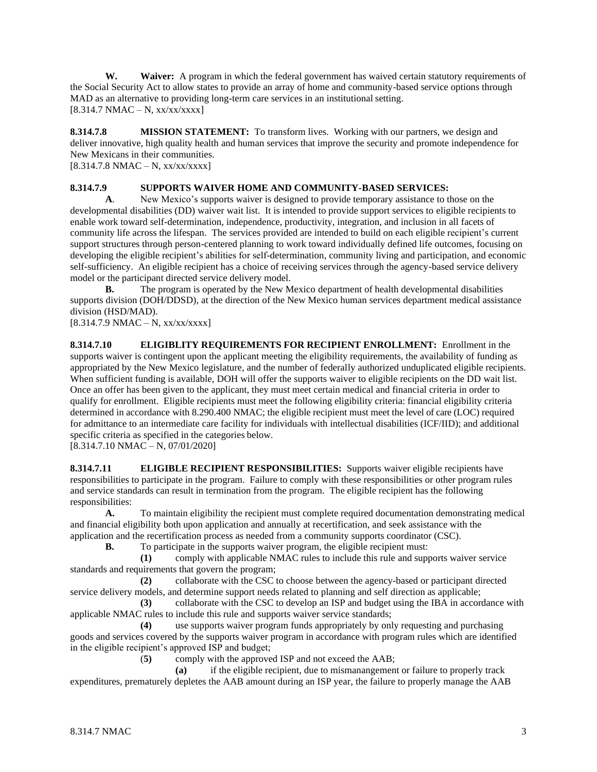**W. Waiver:** A program in which the federal government has waived certain statutory requirements of the Social Security Act to allow states to provide an array of home and community-based service options through MAD as an alternative to providing long-term care services in an institutional setting.  $[8.314.7 \text{ NMAC} - \text{N}$ , xx/xx/xxxx $]$ 

**8.314.7.8 MISSION STATEMENT:** To transform lives. Working with our partners, we design and deliver innovative, high quality health and human services that improve the security and promote independence for New Mexicans in their communities.

 $[8.314.7.8 \text{ NMAC} - \text{N}, \text{xx}/\text{xx}/\text{xx} \text{X}]$ 

# **8.314.7.9 SUPPORTS WAIVER HOME AND COMMUNITY-BASED SERVICES:**

**A**. New Mexico's supports waiver is designed to provide temporary assistance to those on the developmental disabilities (DD) waiver wait list. It is intended to provide support services to eligible recipients to enable work toward self-determination, independence, productivity, integration, and inclusion in all facets of community life across the lifespan. The services provided are intended to build on each eligible recipient's current support structures through person-centered planning to work toward individually defined life outcomes, focusing on developing the eligible recipient's abilities for self-determination, community living and participation, and economic self-sufficiency. An eligible recipient has a choice of receiving services through the agency-based service delivery model or the participant directed service delivery model.

**B.** The program is operated by the New Mexico department of health developmental disabilities supports division (DOH/DDSD), at the direction of the New Mexico human services department medical assistance division (HSD/MAD).

 $[8.314.7.9 \text{ NMAC} - \text{N}, \frac{xx}{xx} \times xx]$ 

**8.314.7.10 ELIGIBLITY REQUIREMENTS FOR RECIPIENT ENROLLMENT:** Enrollment in the supports waiver is contingent upon the applicant meeting the eligibility requirements, the availability of funding as appropriated by the New Mexico legislature, and the number of federally authorized unduplicated eligible recipients. When sufficient funding is available, DOH will offer the supports waiver to eligible recipients on the DD wait list. Once an offer has been given to the applicant, they must meet certain medical and financial criteria in order to qualify for enrollment. Eligible recipients must meet the following eligibility criteria: financial eligibility criteria determined in accordance with 8.290.400 NMAC; the eligible recipient must meet the level of care (LOC) required for admittance to an intermediate care facility for individuals with intellectual disabilities (ICF/IID); and additional specific criteria as specified in the categories below.

[8.314.7.10 NMAC – N, 07/01/2020]

**8.314.7.11 ELIGIBLE RECIPIENT RESPONSIBILITIES:** Supports waiver eligible recipients have responsibilities to participate in the program. Failure to comply with these responsibilities or other program rules and service standards can result in termination from the program. The eligible recipient has the following responsibilities:

**A.** To maintain eligibility the recipient must complete required documentation demonstrating medical and financial eligibility both upon application and annually at recertification, and seek assistance with the application and the recertification process as needed from a community supports coordinator (CSC).

**B.** To participate in the supports waiver program, the eligible recipient must:

**(1)** comply with applicable NMAC rules to include this rule and supports waiver service standards and requirements that govern the program;

**(2)** collaborate with the CSC to choose between the agency-based or participant directed service delivery models, and determine support needs related to planning and self direction as applicable;

**(3)** collaborate with the CSC to develop an ISP and budget using the IBA in accordance with applicable NMAC rules to include this rule and supports waiver service standards;

**(4)** use supports waiver program funds appropriately by only requesting and purchasing goods and services covered by the supports waiver program in accordance with program rules which are identified in the eligible recipient's approved ISP and budget;

(**5)** comply with the approved ISP and not exceed the AAB;

**(a)** if the eligible recipient, due to mismanangement or failure to properly track expenditures, prematurely depletes the AAB amount during an ISP year, the failure to properly manage the AAB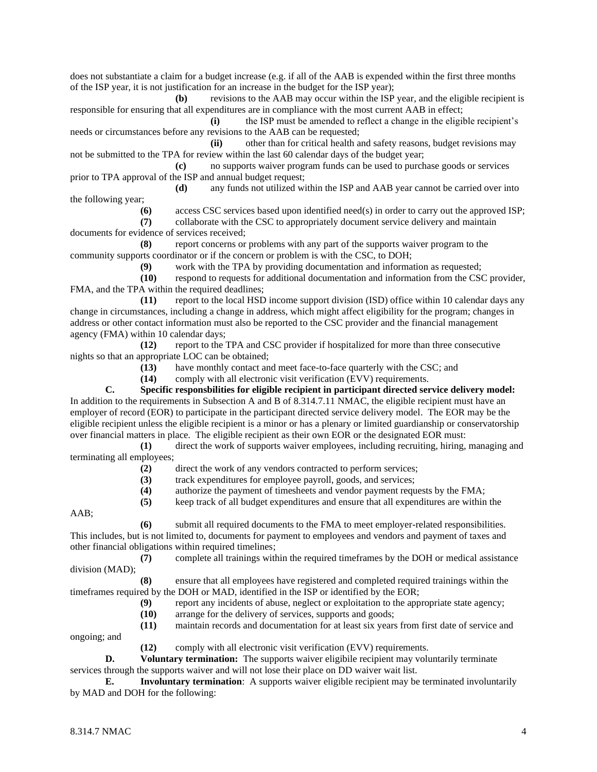does not substantiate a claim for a budget increase (e.g. if all of the AAB is expended within the first three months of the ISP year, it is not justification for an increase in the budget for the ISP year);

**(b)** revisions to the AAB may occur within the ISP year, and the eligible recipient is responsible for ensuring that all expenditures are in compliance with the most current AAB in effect;

**(i)** the ISP must be amended to reflect a change in the eligible recipient's needs or circumstances before any revisions to the AAB can be requested;

**(ii)** other than for critical health and safety reasons, budget revisions may not be submitted to the TPA for review within the last 60 calendar days of the budget year;

**(c)** no supports waiver program funds can be used to purchase goods or services prior to TPA approval of the ISP and annual budget request;

**(d)** any funds not utilized within the ISP and AAB year cannot be carried over into the following year;

**(6)** access CSC services based upon identified need(s) in order to carry out the approved ISP;

**(7)** collaborate with the CSC to appropriately document service delivery and maintain documents for evidence of services received;

**(8)** report concerns or problems with any part of the supports waiver program to the community supports coordinator or if the concern or problem is with the CSC, to DOH;

**(9)** work with the TPA by providing documentation and information as requested;

**(10)** respond to requests for additional documentation and information from the CSC provider, FMA, and the TPA within the required deadlines;

**(11)** report to the local HSD income support division (ISD) office within 10 calendar days any change in circumstances, including a change in address, which might affect eligibility for the program; changes in address or other contact information must also be reported to the CSC provider and the financial management agency (FMA) within 10 calendar days;

**(12)** report to the TPA and CSC provider if hospitalized for more than three consecutive nights so that an appropriate LOC can be obtained;

**(13)** have monthly contact and meet face-to-face quarterly with the CSC; and

**(14)** comply with all electronic visit verification (EVV) requirements.

**C. Specific responsbilities for eligible recipient in participant directed service delivery model:**  In addition to the requirements in Subsection A and B of 8.314.7.11 NMAC, the eligible recipient must have an employer of record (EOR) to participate in the participant directed service delivery model. The EOR may be the eligible recipient unless the eligible recipient is a minor or has a plenary or limited guardianship or conservatorship over financial matters in place. The eligible recipient as their own EOR or the designated EOR must:

**(1)** direct the work of supports waiver employees, including recruiting, hiring, managing and terminating all employees;

- **(2)** direct the work of any vendors contracted to perform services;
- **(3)** track expenditures for employee payroll, goods, and services;
- **(4)** authorize the payment of timesheets and vendor payment requests by the FMA;

**(5)** keep track of all budget expenditures and ensure that all expenditures are within the

AAB;

**(6)** submit all required documents to the FMA to meet employer-related responsibilities.

This includes, but is not limited to, documents for payment to employees and vendors and payment of taxes and other financial obligations within required timelines;

**(7)** complete all trainings within the required timeframes by the DOH or medical assistance division (MAD);

**(8)** ensure that all employees have registered and completed required trainings within the timeframes required by the DOH or MAD, identified in the ISP or identified by the EOR;

**(9)** report any incidents of abuse, neglect or exploitation to the appropriate state agency;

**(10)** arrange for the delivery of services, supports and goods;

**(11)** maintain records and documentation for at least six years from first date of service and ongoing; and

**(12)** comply with all electronic visit verification (EVV) requirements.

**D. Voluntary termination:** The supports waiver eligibile recipient may voluntarily terminate services through the supports waiver and will not lose their place on DD waiver wait list.

**E. Involuntary termination**: A supports waiver eligible recipient may be terminated involuntarily by MAD and DOH for the following: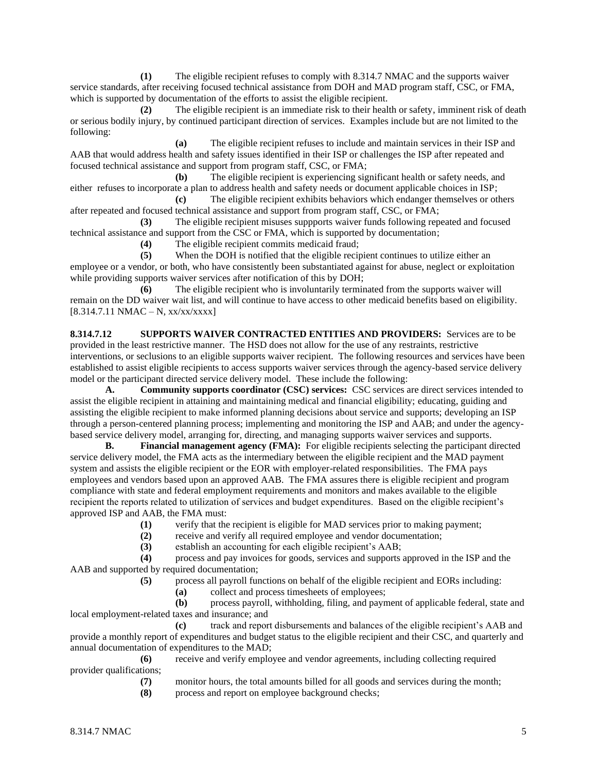**(1)** The eligible recipient refuses to comply with 8.314.7 NMAC and the supports waiver service standards, after receiving focused technical assistance from DOH and MAD program staff, CSC, or FMA, which is supported by documentation of the efforts to assist the eligible recipient.

**(2)** The eligible recipient is an immediate risk to their health or safety, imminent risk of death or serious bodily injury, by continued participant direction of services. Examples include but are not limited to the following:

**(a)** The eligible recipient refuses to include and maintain services in their ISP and AAB that would address health and safety issues identified in their ISP or challenges the ISP after repeated and focused technical assistance and support from program staff, CSC, or FMA;

**(b)** The eligible recipient is experiencing significant health or safety needs, and either refuses to incorporate a plan to address health and safety needs or document applicable choices in ISP;

**(c)** The eligible recipient exhibits behaviors which endanger themselves or others after repeated and focused technical assistance and support from program staff, CSC, or FMA;

**(3)** The eligible recipient misuses suppports waiver funds following repeated and focused technical assistance and support from the CSC or FMA, which is supported by documentation;

**(4)** The eligible recipient commits medicaid fraud;

**(5)** When the DOH is notified that the eligible recipient continues to utilize either an employee or a vendor, or both, who have consistently been substantiated against for abuse, neglect or exploitation while providing supports waiver services after notification of this by DOH;

**(6)** The eligible recipient who is involuntarily terminated from the supports waiver will remain on the DD waiver wait list, and will continue to have access to other medicaid benefits based on eligibility.  $[8.314.7.11 \text{ NMAC} - \text{N}, \frac{XX}{XX} \text{XXX}]$ 

**8.314.7.12 SUPPORTS WAIVER CONTRACTED ENTITIES AND PROVIDERS:** Services are to be provided in the least restrictive manner. The HSD does not allow for the use of any restraints, restrictive interventions, or seclusions to an eligible supports waiver recipient. The following resources and services have been established to assist eligible recipients to access supports waiver services through the agency-based service delivery model or the participant directed service delivery model. These include the following:

**A. Community supports coordinator (CSC) services:** CSC services are direct services intended to assist the eligible recipient in attaining and maintaining medical and financial eligibility; educating, guiding and assisting the eligible recipient to make informed planning decisions about service and supports; developing an ISP through a person-centered planning process; implementing and monitoring the ISP and AAB; and under the agencybased service delivery model, arranging for, directing, and managing supports waiver services and supports.

**B. Financial management agency (FMA):** For eligible recipients selecting the participant directed service delivery model, the FMA acts as the intermediary between the eligible recipient and the MAD payment system and assists the eligible recipient or the EOR with employer-related responsibilities. The FMA pays employees and vendors based upon an approved AAB. The FMA assures there is eligible recipient and program compliance with state and federal employment requirements and monitors and makes available to the eligible recipient the reports related to utilization of services and budget expenditures. Based on the eligible recipient's approved ISP and AAB, the FMA must:

**(1)** verify that the recipient is eligible for MAD services prior to making payment;

**(2)** receive and verify all required employee and vendor documentation;

**(3)** establish an accounting for each eligible recipient's AAB;

**(4)** process and pay invoices for goods, services and supports approved in the ISP and the AAB and supported by required documentation;

**(5)** process all payroll functions on behalf of the eligible recipient and EORs including:

**(a)** collect and process timesheets of employees;

**(b)** process payroll, withholding, filing, and payment of applicable federal, state and local employment-related taxes and insurance; and

**(c)** track and report disbursements and balances of the eligible recipient's AAB and provide a monthly report of expenditures and budget status to the eligible recipient and their CSC, and quarterly and annual documentation of expenditures to the MAD;

**(6)** receive and verify employee and vendor agreements, including collecting required provider qualifications;

**(7)** monitor hours, the total amounts billed for all goods and services during the month;

**(8)** process and report on employee background checks;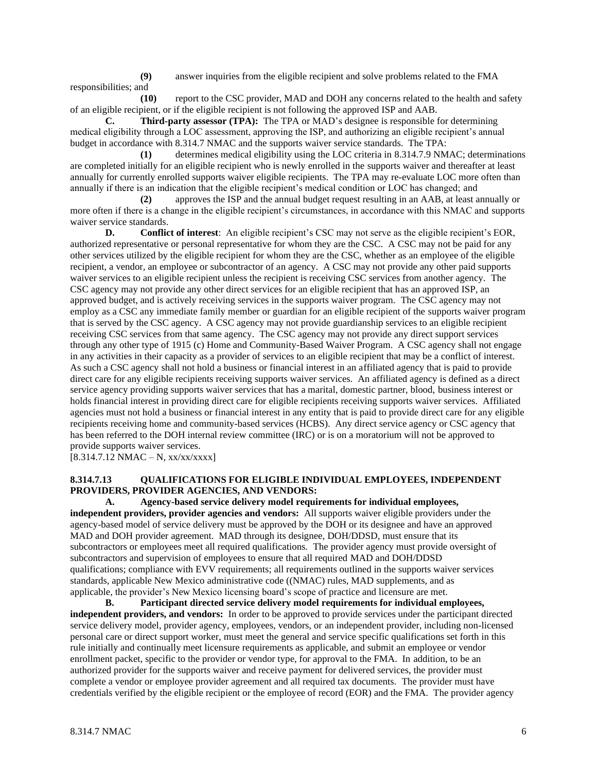**(9)** answer inquiries from the eligible recipient and solve problems related to the FMA responsibilities; and

**(10)** report to the CSC provider, MAD and DOH any concerns related to the health and safety of an eligible recipient, or if the eligible recipient is not following the approved ISP and AAB.

**C. Third-party assessor (TPA):** The TPA or MAD's designee is responsible for determining medical eligibility through a LOC assessment, approving the ISP, and authorizing an eligible recipient's annual budget in accordance with 8.314.7 NMAC and the supports waiver service standards. The TPA:

**(1)** determines medical eligibility using the LOC criteria in 8.314.7.9 NMAC; determinations are completed initially for an eligible recipient who is newly enrolled in the supports waiver and thereafter at least annually for currently enrolled supports waiver eligible recipients. The TPA may re-evaluate LOC more often than annually if there is an indication that the eligible recipient's medical condition or LOC has changed; and

**(2)** approves the ISP and the annual budget request resulting in an AAB, at least annually or more often if there is a change in the eligible recipient's circumstances, in accordance with this NMAC and supports waiver service standards.

**D. Conflict of interest**: An eligible recipient's CSC may not serve as the eligible recipient's EOR, authorized representative or personal representative for whom they are the CSC. A CSC may not be paid for any other services utilized by the eligible recipient for whom they are the CSC, whether as an employee of the eligible recipient, a vendor, an employee or subcontractor of an agency. A CSC may not provide any other paid supports waiver services to an eligible recipient unless the recipient is receiving CSC services from another agency. The CSC agency may not provide any other direct services for an eligible recipient that has an approved ISP, an approved budget, and is actively receiving services in the supports waiver program. The CSC agency may not employ as a CSC any immediate family member or guardian for an eligible recipient of the supports waiver program that is served by the CSC agency. A CSC agency may not provide guardianship services to an eligible recipient receiving CSC services from that same agency. The CSC agency may not provide any direct support services through any other type of 1915 (c) Home and Community-Based Waiver Program. A CSC agency shall not engage in any activities in their capacity as a provider of services to an eligible recipient that may be a conflict of interest. As such a CSC agency shall not hold a business or financial interest in an affiliated agency that is paid to provide direct care for any eligible recipients receiving supports waiver services. An affiliated agency is defined as a direct service agency providing supports waiver services that has a marital, domestic partner, blood, business interest or holds financial interest in providing direct care for eligible recipients receiving supports waiver services. Affiliated agencies must not hold a business or financial interest in any entity that is paid to provide direct care for any eligible recipients receiving home and community-based services (HCBS). Any direct service agency or CSC agency that has been referred to the DOH internal review committee (IRC) or is on a moratorium will not be approved to provide supports waiver services.

 $[8.314.7.12 \text{ NMAC} - \text{N}, \text{xx}/\text{xx}/\text{xx} \text{x}]$ 

### **8.314.7.13 QUALIFICATIONS FOR ELIGIBLE INDIVIDUAL EMPLOYEES, INDEPENDENT PROVIDERS, PROVIDER AGENCIES, AND VENDORS:**

**A. Agency-based service delivery model requirements for individual employees, independent providers, provider agencies and vendors:** All supports waiver eligible providers under the agency-based model of service delivery must be approved by the DOH or its designee and have an approved MAD and DOH provider agreement. MAD through its designee, DOH/DDSD, must ensure that its subcontractors or employees meet all required qualifications. The provider agency must provide oversight of subcontractors and supervision of employees to ensure that all required MAD and DOH/DDSD qualifications; compliance with EVV requirements; all requirements outlined in the supports waiver services standards, applicable New Mexico administrative code ((NMAC) rules, MAD supplements, and as applicable, the provider's New Mexico licensing board's scope of practice and licensure are met.

**B. Participant directed service delivery model requirements for individual employees, independent providers, and vendors:** In order to be approved to provide services under the participant directed service delivery model, provider agency, employees, vendors, or an independent provider, including non-licensed personal care or direct support worker, must meet the general and service specific qualifications set forth in this rule initially and continually meet licensure requirements as applicable, and submit an employee or vendor enrollment packet, specific to the provider or vendor type, for approval to the FMA. In addition, to be an authorized provider for the supports waiver and receive payment for delivered services, the provider must complete a vendor or employee provider agreement and all required tax documents. The provider must have credentials verified by the eligible recipient or the employee of record (EOR) and the FMA. The provider agency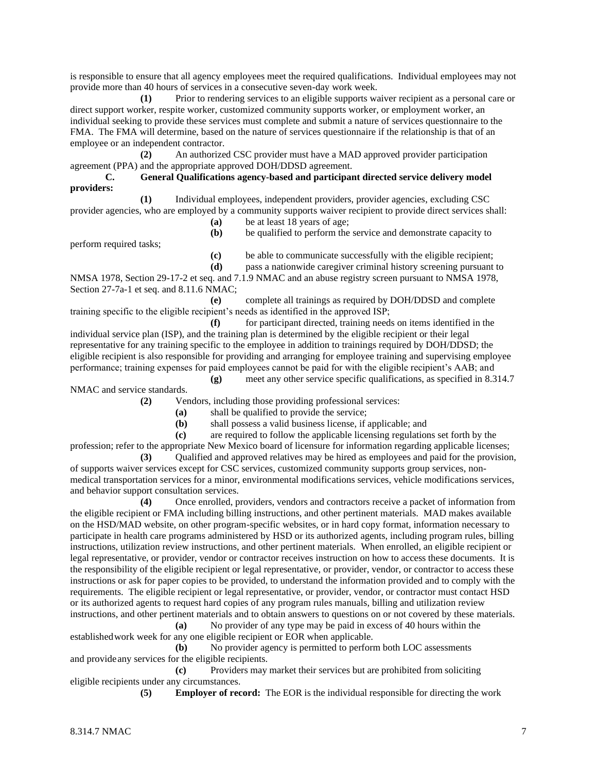is responsible to ensure that all agency employees meet the required qualifications. Individual employees may not provide more than 40 hours of services in a consecutive seven-day work week.

**(1)** Prior to rendering services to an eligible supports waiver recipient as a personal care or direct support worker, respite worker, customized community supports worker, or employment worker, an individual seeking to provide these services must complete and submit a nature of services questionnaire to the FMA. The FMA will determine, based on the nature of services questionnaire if the relationship is that of an employee or an independent contractor.

**(2)** An authorized CSC provider must have a MAD approved provider participation agreement (PPA) and the appropriate approved DOH/DDSD agreement.

## **C. General Qualifications agency-based and participant directed service delivery model providers:**

**(1)** Individual employees, independent providers, provider agencies, excluding CSC provider agencies, who are employed by a community supports waiver recipient to provide direct services shall:

**(a)** be at least 18 years of age;

perform required tasks;

**(b)** be qualified to perform the service and demonstrate capacity to

**(c)** be able to communicate successfully with the eligible recipient;

**(d)** pass a nationwide caregiver criminal history screening pursuant to

NMSA 1978, Section 29-17-2 et seq. and 7.1.9 NMAC and an abuse registry screen pursuant to NMSA 1978, Section 27-7a-1 et seq. and 8.11.6 NMAC;

**(e)** complete all trainings as required by DOH/DDSD and complete training specific to the eligible recipient's needs as identified in the approved ISP;

**(f)** for participant directed, training needs on items identified in the individual service plan (ISP), and the training plan is determined by the eligible recipient or their legal representative for any training specific to the employee in addition to trainings required by DOH/DDSD; the eligible recipient is also responsible for providing and arranging for employee training and supervising employee performance; training expenses for paid employees cannot be paid for with the eligible recipient's AAB; and

**(g)** meet any other service specific qualifications, as specified in 8.314.7 NMAC and service standards.

**(2)** Vendors, including those providing professional services:

**(a)** shall be qualified to provide the service;

**(b)** shall possess a valid business license, if applicable; and

**(c)** are required to follow the applicable licensing regulations set forth by the profession; refer to the appropriate New Mexico board of licensure for information regarding applicable licenses;

**(3)** Qualified and approved relatives may be hired as employees and paid for the provision, of supports waiver services except for CSC services, customized community supports group services, nonmedical transportation services for a minor, environmental modifications services, vehicle modifications services, and behavior support consultation services.

**(4)** Once enrolled, providers, vendors and contractors receive a packet of information from the eligible recipient or FMA including billing instructions, and other pertinent materials. MAD makes available on the HSD/MAD website, on other program-specific websites, or in hard copy format, information necessary to participate in health care programs administered by HSD or its authorized agents, including program rules, billing instructions, utilization review instructions, and other pertinent materials. When enrolled, an eligible recipient or legal representative, or provider, vendor or contractor receives instruction on how to access these documents. It is the responsibility of the eligible recipient or legal representative, or provider, vendor, or contractor to access these instructions or ask for paper copies to be provided, to understand the information provided and to comply with the requirements. The eligible recipient or legal representative, or provider, vendor, or contractor must contact HSD or its authorized agents to request hard copies of any program rules manuals, billing and utilization review instructions, and other pertinent materials and to obtain answers to questions on or not covered by these materials.

**(a)** No provider of any type may be paid in excess of 40 hours within the establishedwork week for any one eligible recipient or EOR when applicable.

**(b)** No provider agency is permitted to perform both LOC assessments and provideany services for the eligible recipients.

**(c)** Providers may market their services but are prohibited from soliciting eligible recipients under any circumstances.

**(5) Employer of record:** The EOR is the individual responsible for directing the work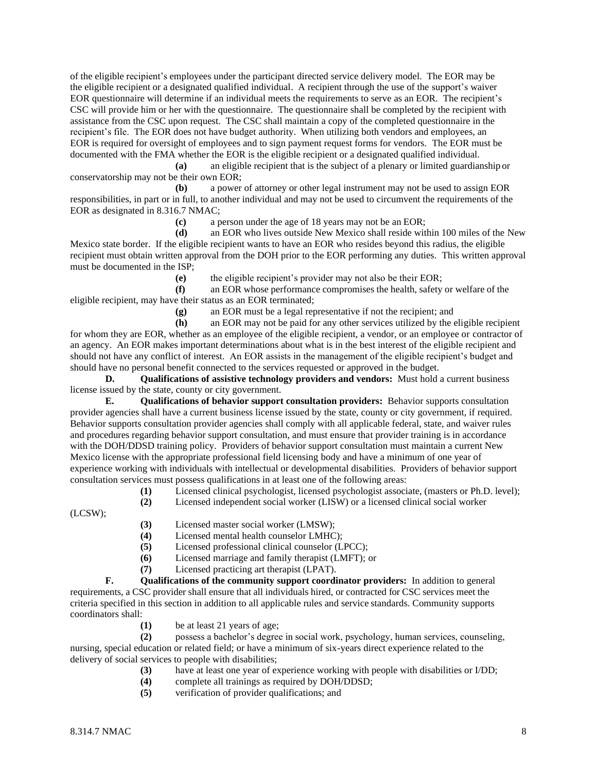of the eligible recipient's employees under the participant directed service delivery model. The EOR may be the eligible recipient or a designated qualified individual. A recipient through the use of the support's waiver EOR questionnaire will determine if an individual meets the requirements to serve as an EOR. The recipient's CSC will provide him or her with the questionnaire. The questionnaire shall be completed by the recipient with assistance from the CSC upon request. The CSC shall maintain a copy of the completed questionnaire in the recipient's file. The EOR does not have budget authority. When utilizing both vendors and employees, an EOR is required for oversight of employees and to sign payment request forms for vendors. The EOR must be documented with the FMA whether the EOR is the eligible recipient or a designated qualified individual.

**(a)** an eligible recipient that is the subject of a plenary or limited guardianship or conservatorship may not be their own EOR;

**(b)** a power of attorney or other legal instrument may not be used to assign EOR responsibilities, in part or in full, to another individual and may not be used to circumvent the requirements of the EOR as designated in 8.316.7 NMAC;

**(c)** a person under the age of 18 years may not be an EOR;

**(d)** an EOR who lives outside New Mexico shall reside within 100 miles of the New Mexico state border. If the eligible recipient wants to have an EOR who resides beyond this radius, the eligible recipient must obtain written approval from the DOH prior to the EOR performing any duties. This written approval must be documented in the ISP;

**(e)** the eligible recipient's provider may not also be their EOR;

**(f)** an EOR whose performance compromises the health, safety or welfare of the eligible recipient, may have their status as an EOR terminated;

**(g)** an EOR must be a legal representative if not the recipient; and

**(h)** an EOR may not be paid for any other services utilized by the eligible recipient for whom they are EOR, whether as an employee of the eligible recipient, a vendor, or an employee or contractor of an agency. An EOR makes important determinations about what is in the best interest of the eligible recipient and should not have any conflict of interest. An EOR assists in the management of the eligible recipient's budget and should have no personal benefit connected to the services requested or approved in the budget.

**D. Qualifications of assistive technology providers and vendors:** Must hold a current business license issued by the state, county or city government.

**E. Qualifications of behavior support consultation providers:** Behavior supports consultation provider agencies shall have a current business license issued by the state, county or city government, if required. Behavior supports consultation provider agencies shall comply with all applicable federal, state, and waiver rules and procedures regarding behavior support consultation, and must ensure that provider training is in accordance with the DOH/DDSD training policy. Providers of behavior support consultation must maintain a current New Mexico license with the appropriate professional field licensing body and have a minimum of one year of experience working with individuals with intellectual or developmental disabilities. Providers of behavior support consultation services must possess qualifications in at least one of the following areas:

**(1)** Licensed clinical psychologist, licensed psychologist associate, (masters or Ph.D. level);

**(2)** Licensed independent social worker (LISW) or a licensed clinical social worker

(LCSW);

- **(3)** Licensed master social worker (LMSW);
- **(4)** Licensed mental health counselor LMHC);
- **(5)** Licensed professional clinical counselor (LPCC);
- **(6)** Licensed marriage and family therapist (LMFT); or
- **(7)** Licensed practicing art therapist (LPAT).

**F. Qualifications of the community support coordinator providers:** In addition to general requirements, a CSC provider shall ensure that all individuals hired, or contracted for CSC services meet the criteria specified in this section in addition to all applicable rules and service standards. Community supports coordinators shall:

**(1)** be at least 21 years of age;

**(2)** possess a bachelor's degree in social work, psychology, human services, counseling, nursing, special education or related field; or have a minimum of six-years direct experience related to the delivery of social services to people with disabilities;

- **(3)** have at least one year of experience working with people with disabilities or I/DD;
- **(4)** complete all trainings as required by DOH/DDSD;
- **(5)** verification of provider qualifications; and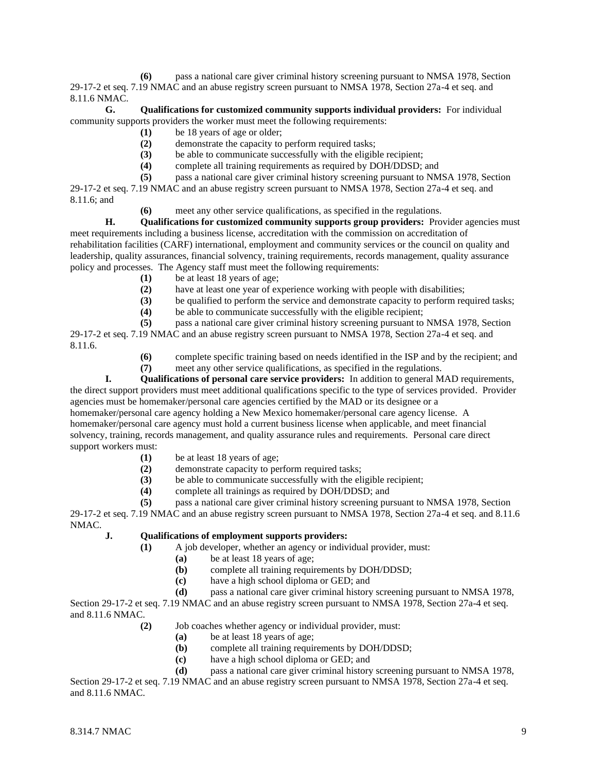**(6)** pass a national care giver criminal history screening pursuant to NMSA 1978, Section 29-17-2 et seq. 7.19 NMAC and an abuse registry screen pursuant to NMSA 1978, Section 27a-4 et seq. and 8.11.6 NMAC.

# **G. Qualifications for customized community supports individual providers:** For individual community supports providers the worker must meet the following requirements:

- **(1)** be 18 years of age or older;
- **(2)** demonstrate the capacity to perform required tasks;
- **(3)** be able to communicate successfully with the eligible recipient;
- **(4)** complete all training requirements as required by DOH/DDSD; and
- **(5)** pass a national care giver criminal history screening pursuant to NMSA 1978, Section 29-17-2 et seq. 7.19 NMAC and an abuse registry screen pursuant to NMSA 1978, Section 27a-4 et seq. and 8.11.6; and

**(6)** meet any other service qualifications, as specified in the regulations.

**H. Qualifications for customized community supports group providers:** Provider agencies must meet requirements including a business license, accreditation with the commission on accreditation of rehabilitation facilities (CARF) international, employment and community services or the council on quality and leadership, quality assurances, financial solvency, training requirements, records management, quality assurance policy and processes. The Agency staff must meet the following requirements:

- **(1)** be at least 18 years of age;
- **(2)** have at least one year of experience working with people with disabilities;
- **(3)** be qualified to perform the service and demonstrate capacity to perform required tasks;
- **(4)** be able to communicate successfully with the eligible recipient;

**(5)** pass a national care giver criminal history screening pursuant to NMSA 1978, Section 29-17-2 et seq. 7.19 NMAC and an abuse registry screen pursuant to NMSA 1978, Section 27a-4 et seq. and 8.11.6.

- **(6)** complete specific training based on needs identified in the ISP and by the recipient; and
- **(7)** meet any other service qualifications, as specified in the regulations.

**I. Qualifications of personal care service providers:** In addition to general MAD requirements, the direct support providers must meet additional qualifications specific to the type of services provided. Provider agencies must be homemaker/personal care agencies certified by the MAD or its designee or a homemaker/personal care agency holding a New Mexico homemaker/personal care agency license. A homemaker/personal care agency must hold a current business license when applicable, and meet financial solvency, training, records management, and quality assurance rules and requirements. Personal care direct support workers must:

- **(1)** be at least 18 years of age;
- **(2)** demonstrate capacity to perform required tasks;
- **(3)** be able to communicate successfully with the eligible recipient;
- **(4)** complete all trainings as required by DOH/DDSD; and

**(5)** pass a national care giver criminal history screening pursuant to NMSA 1978, Section 29-17-2 et seq. 7.19 NMAC and an abuse registry screen pursuant to NMSA 1978, Section 27a-4 et seq. and 8.11.6 NMAC.

## **J. Qualifications of employment supports providers:**

- **(1)** A job developer, whether an agency or individual provider, must:
	- **(a)** be at least 18 years of age;
	- **(b)** complete all training requirements by DOH/DDSD;
	- **(c)** have a high school diploma or GED; and
	- **(d)** pass a national care giver criminal history screening pursuant to NMSA 1978,

Section 29-17-2 et seq. 7.19 NMAC and an abuse registry screen pursuant to NMSA 1978, Section 27a-4 et seq. and 8.11.6 NMAC.

**(2)** Job coaches whether agency or individual provider, must:

- **(a)** be at least 18 years of age;
- **(b)** complete all training requirements by DOH/DDSD;
- **(c)** have a high school diploma or GED; and
- **(d)** pass a national care giver criminal history screening pursuant to NMSA 1978,

Section 29-17-2 et seq. 7.19 NMAC and an abuse registry screen pursuant to NMSA 1978, Section 27a-4 et seq. and 8.11.6 NMAC.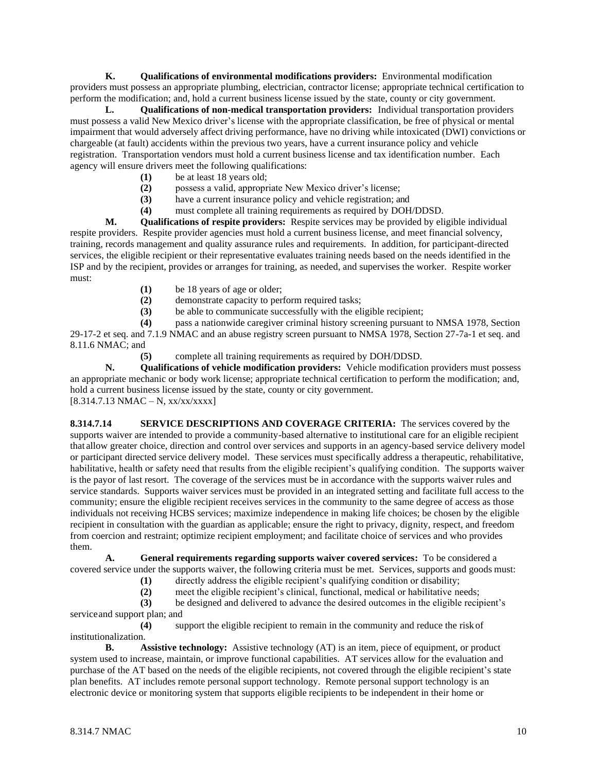**K. Qualifications of environmental modifications providers:** Environmental modification providers must possess an appropriate plumbing, electrician, contractor license; appropriate technical certification to perform the modification; and, hold a current business license issued by the state, county or city government.

**L. Qualifications of non-medical transportation providers:** Individual transportation providers must possess a valid New Mexico driver's license with the appropriate classification, be free of physical or mental impairment that would adversely affect driving performance, have no driving while intoxicated (DWI) convictions or chargeable (at fault) accidents within the previous two years, have a current insurance policy and vehicle registration. Transportation vendors must hold a current business license and tax identification number. Each agency will ensure drivers meet the following qualifications:

- **(1)** be at least 18 years old;
- **(2)** possess a valid, appropriate New Mexico driver's license;
- **(3)** have a current insurance policy and vehicle registration; and
- **(4)** must complete all training requirements as required by DOH/DDSD.

**M. Qualifications of respite providers:** Respite services may be provided by eligible individual respite providers. Respite provider agencies must hold a current business license, and meet financial solvency, training, records management and quality assurance rules and requirements. In addition, for participant-directed services, the eligible recipient or their representative evaluates training needs based on the needs identified in the ISP and by the recipient, provides or arranges for training, as needed, and supervises the worker. Respite worker must:

- **(1)** be 18 years of age or older;
- **(2)** demonstrate capacity to perform required tasks;
- **(3)** be able to communicate successfully with the eligible recipient;

**(4)** pass a nationwide caregiver criminal history screening pursuant to NMSA 1978, Section 29-17-2 et seq. and 7.1.9 NMAC and an abuse registry screen pursuant to NMSA 1978, Section 27-7a-1 et seq. and 8.11.6 NMAC; and

**(5)** complete all training requirements as required by DOH/DDSD.

**N. Qualifications of vehicle modification providers:** Vehicle modification providers must possess an appropriate mechanic or body work license; appropriate technical certification to perform the modification; and, hold a current business license issued by the state, county or city government.  $[8.314.7.13 \text{ NMAC} - \text{N}, \text{xx}/\text{xx}/\text{xx} \text{X}]$ 

**8.314.7.14 SERVICE DESCRIPTIONS AND COVERAGE CRITERIA:** The services covered by the supports waiver are intended to provide a community-based alternative to institutional care for an eligible recipient that allow greater choice, direction and control over services and supports in an agency-based service delivery model or participant directed service delivery model. These services must specifically address a therapeutic, rehabilitative, habilitative, health or safety need that results from the eligible recipient's qualifying condition. The supports waiver is the payor of last resort. The coverage of the services must be in accordance with the supports waiver rules and service standards. Supports waiver services must be provided in an integrated setting and facilitate full access to the community; ensure the eligible recipient receives services in the community to the same degree of access as those individuals not receiving HCBS services; maximize independence in making life choices; be chosen by the eligible recipient in consultation with the guardian as applicable; ensure the right to privacy, dignity, respect, and freedom from coercion and restraint; optimize recipient employment; and facilitate choice of services and who provides them.

**A. General requirements regarding supports waiver covered services:** To be considered a covered service under the supports waiver, the following criteria must be met. Services, supports and goods must:

**(1)** directly address the eligible recipient's qualifying condition or disability;

**(2)** meet the eligible recipient's clinical, functional, medical or habilitative needs;

**(3)** be designed and delivered to advance the desired outcomes in the eligible recipient's serviceand support plan; and

**(4)** support the eligible recipient to remain in the community and reduce the risk of institutionalization.

**B. Assistive technology:** Assistive technology (AT) is an item, piece of equipment, or product system used to increase, maintain, or improve functional capabilities. AT services allow for the evaluation and purchase of the AT based on the needs of the eligible recipients, not covered through the eligible recipient's state plan benefits. AT includes remote personal support technology. Remote personal support technology is an electronic device or monitoring system that supports eligible recipients to be independent in their home or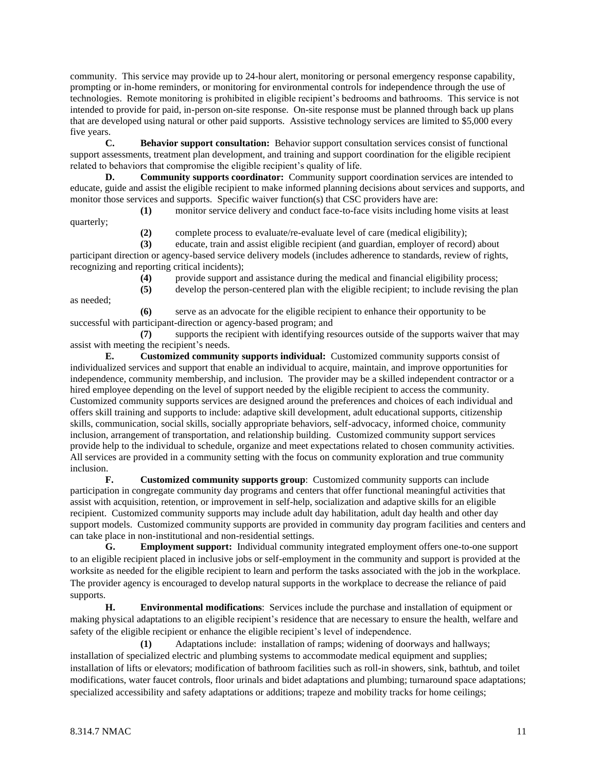community. This service may provide up to 24-hour alert, monitoring or personal emergency response capability, prompting or in-home reminders, or monitoring for environmental controls for independence through the use of technologies. Remote monitoring is prohibited in eligible recipient's bedrooms and bathrooms. This service is not intended to provide for paid, in-person on-site response. On-site response must be planned through back up plans that are developed using natural or other paid supports. Assistive technology services are limited to \$5,000 every five years.

**C. Behavior support consultation:** Behavior support consultation services consist of functional support assessments, treatment plan development, and training and support coordination for the eligible recipient related to behaviors that compromise the eligible recipient's quality of life.

**D. Community supports coordinator:** Community support coordination services are intended to educate, guide and assist the eligible recipient to make informed planning decisions about services and supports, and monitor those services and supports. Specific waiver function(s) that CSC providers have are:

quarterly;

**(1)** monitor service delivery and conduct face-to-face visits including home visits at least

**(2)** complete process to evaluate/re-evaluate level of care (medical eligibility);

**(3)** educate, train and assist eligible recipient (and guardian, employer of record) about participant direction or agency-based service delivery models (includes adherence to standards, review of rights, recognizing and reporting critical incidents);

> **(4)** provide support and assistance during the medical and financial eligibility process; **(5)** develop the person-centered plan with the eligible recipient; to include revising the plan

as needed;

**(6)** serve as an advocate for the eligible recipient to enhance their opportunity to be successful with participant-direction or agency-based program; and

**(7)** supports the recipient with identifying resources outside of the supports waiver that may assist with meeting the recipient's needs.

**E. Customized community supports individual:** Customized community supports consist of individualized services and support that enable an individual to acquire, maintain, and improve opportunities for independence, community membership, and inclusion. The provider may be a skilled independent contractor or a hired employee depending on the level of support needed by the eligible recipient to access the community. Customized community supports services are designed around the preferences and choices of each individual and offers skill training and supports to include: adaptive skill development, adult educational supports, citizenship skills, communication, social skills, socially appropriate behaviors, self-advocacy, informed choice, community inclusion, arrangement of transportation, and relationship building. Customized community support services provide help to the individual to schedule, organize and meet expectations related to chosen community activities. All services are provided in a community setting with the focus on community exploration and true community inclusion.

**F. Customized community supports group**: Customized community supports can include participation in congregate community day programs and centers that offer functional meaningful activities that assist with acquisition, retention, or improvement in self-help, socialization and adaptive skills for an eligible recipient. Customized community supports may include adult day habilitation, adult day health and other day support models. Customized community supports are provided in community day program facilities and centers and can take place in non-institutional and non-residential settings.

**G. Employment support:** Individual community integrated employment offers one-to-one support to an eligible recipient placed in inclusive jobs or self-employment in the community and support is provided at the worksite as needed for the eligible recipient to learn and perform the tasks associated with the job in the workplace. The provider agency is encouraged to develop natural supports in the workplace to decrease the reliance of paid supports.

**H. Environmental modifications**: Services include the purchase and installation of equipment or making physical adaptations to an eligible recipient's residence that are necessary to ensure the health, welfare and safety of the eligible recipient or enhance the eligible recipient's level of independence.

**(1)** Adaptations include: installation of ramps; widening of doorways and hallways; installation of specialized electric and plumbing systems to accommodate medical equipment and supplies; installation of lifts or elevators; modification of bathroom facilities such as roll-in showers, sink, bathtub, and toilet modifications, water faucet controls, floor urinals and bidet adaptations and plumbing; turnaround space adaptations; specialized accessibility and safety adaptations or additions; trapeze and mobility tracks for home ceilings;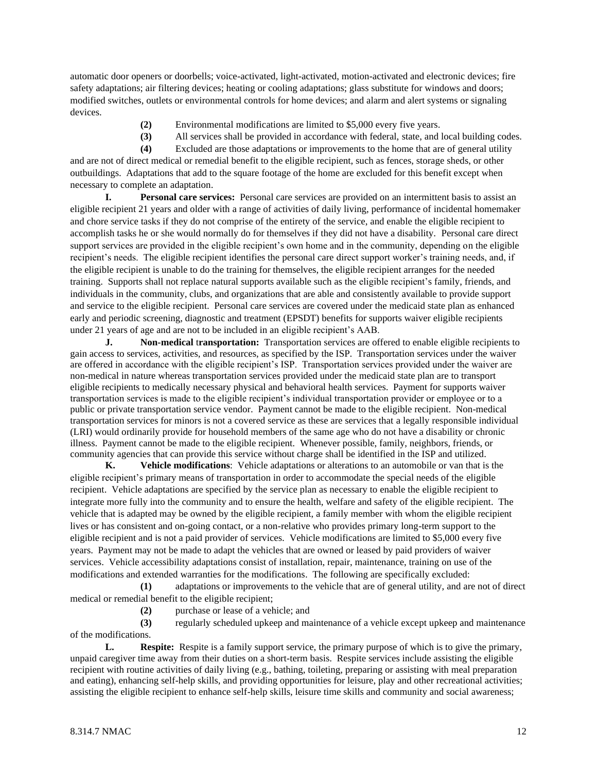automatic door openers or doorbells; voice-activated, light-activated, motion-activated and electronic devices; fire safety adaptations; air filtering devices; heating or cooling adaptations; glass substitute for windows and doors; modified switches, outlets or environmental controls for home devices; and alarm and alert systems or signaling devices.

- **(2)** Environmental modifications are limited to \$5,000 every five years.
- **(3)** All services shall be provided in accordance with federal, state, and local building codes.

**(4)** Excluded are those adaptations or improvements to the home that are of general utility and are not of direct medical or remedial benefit to the eligible recipient, such as fences, storage sheds, or other outbuildings. Adaptations that add to the square footage of the home are excluded for this benefit except when necessary to complete an adaptation.

**I. Personal care services:** Personal care services are provided on an intermittent basis to assist an eligible recipient 21 years and older with a range of activities of daily living, performance of incidental homemaker and chore service tasks if they do not comprise of the entirety of the service, and enable the eligible recipient to accomplish tasks he or she would normally do for themselves if they did not have a disability. Personal care direct support services are provided in the eligible recipient's own home and in the community, depending on the eligible recipient's needs. The eligible recipient identifies the personal care direct support worker's training needs, and, if the eligible recipient is unable to do the training for themselves, the eligible recipient arranges for the needed training. Supports shall not replace natural supports available such as the eligible recipient's family, friends, and individuals in the community, clubs, and organizations that are able and consistently available to provide support and service to the eligible recipient. Personal care services are covered under the medicaid state plan as enhanced early and periodic screening, diagnostic and treatment (EPSDT) benefits for supports waiver eligible recipients under 21 years of age and are not to be included in an eligible recipient's AAB.

**J. Non-medical** t**ransportation:** Transportation services are offered to enable eligible recipients to gain access to services, activities, and resources, as specified by the ISP. Transportation services under the waiver are offered in accordance with the eligible recipient's ISP. Transportation services provided under the waiver are non-medical in nature whereas transportation services provided under the medicaid state plan are to transport eligible recipients to medically necessary physical and behavioral health services. Payment for supports waiver transportation services is made to the eligible recipient's individual transportation provider or employee or to a public or private transportation service vendor. Payment cannot be made to the eligible recipient. Non-medical transportation services for minors is not a covered service as these are services that a legally responsible individual (LRI) would ordinarily provide for household members of the same age who do not have a disability or chronic illness. Payment cannot be made to the eligible recipient. Whenever possible, family, neighbors, friends, or community agencies that can provide this service without charge shall be identified in the ISP and utilized.

**K. Vehicle modifications**: Vehicle adaptations or alterations to an automobile or van that is the eligible recipient's primary means of transportation in order to accommodate the special needs of the eligible recipient. Vehicle adaptations are specified by the service plan as necessary to enable the eligible recipient to integrate more fully into the community and to ensure the health, welfare and safety of the eligible recipient. The vehicle that is adapted may be owned by the eligible recipient, a family member with whom the eligible recipient lives or has consistent and on-going contact, or a non-relative who provides primary long-term support to the eligible recipient and is not a paid provider of services. Vehicle modifications are limited to \$5,000 every five years. Payment may not be made to adapt the vehicles that are owned or leased by paid providers of waiver services. Vehicle accessibility adaptations consist of installation, repair, maintenance, training on use of the modifications and extended warranties for the modifications. The following are specifically excluded:

**(1)** adaptations or improvements to the vehicle that are of general utility, and are not of direct medical or remedial benefit to the eligible recipient;

**(2)** purchase or lease of a vehicle; and

**(3)** regularly scheduled upkeep and maintenance of a vehicle except upkeep and maintenance of the modifications.

**L. Respite:** Respite is a family support service, the primary purpose of which is to give the primary, unpaid caregiver time away from their duties on a short-term basis. Respite services include assisting the eligible recipient with routine activities of daily living (e.g., bathing, toileting, preparing or assisting with meal preparation and eating), enhancing self-help skills, and providing opportunities for leisure, play and other recreational activities; assisting the eligible recipient to enhance self-help skills, leisure time skills and community and social awareness;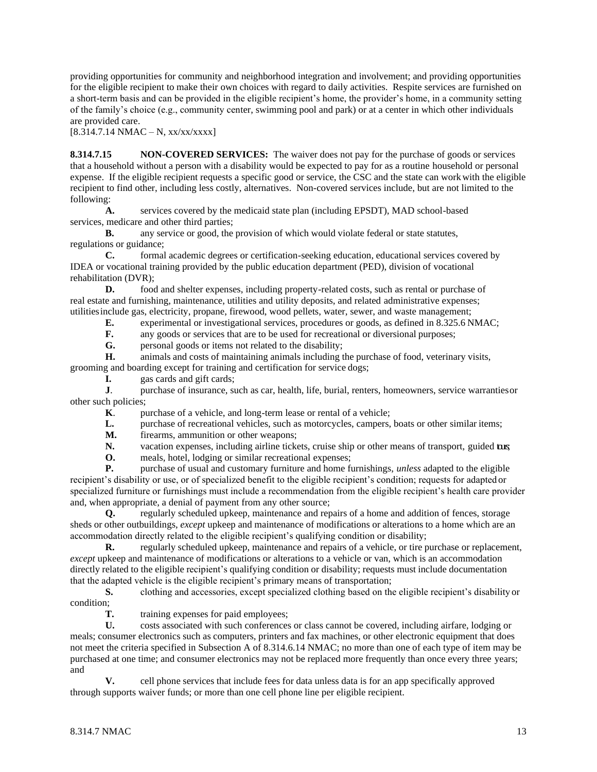providing opportunities for community and neighborhood integration and involvement; and providing opportunities for the eligible recipient to make their own choices with regard to daily activities. Respite services are furnished on a short-term basis and can be provided in the eligible recipient's home, the provider's home, in a community setting of the family's choice (e.g., community center, swimming pool and park) or at a center in which other individuals are provided care.

 $[8.314.7.14 \text{ NMAC} - \text{N}, \text{xx}/\text{xx}/\text{xx} \text{x}]$ 

**8.314.7.15 NON-COVERED SERVICES:** The waiver does not pay for the purchase of goods or services that a household without a person with a disability would be expected to pay for as a routine household or personal expense. If the eligible recipient requests a specific good or service, the CSC and the state can workwith the eligible recipient to find other, including less costly, alternatives. Non-covered services include, but are not limited to the following:

**A.** services covered by the medicaid state plan (including EPSDT), MAD school-based services, medicare and other third parties;

**B.** any service or good, the provision of which would violate federal or state statutes, regulations or guidance;

**C.** formal academic degrees or certification-seeking education, educational services covered by IDEA or vocational training provided by the public education department (PED), division of vocational rehabilitation (DVR);

**D.** food and shelter expenses, including property-related costs, such as rental or purchase of real estate and furnishing, maintenance, utilities and utility deposits, and related administrative expenses; utilitiesinclude gas, electricity, propane, firewood, wood pellets, water, sewer, and waste management;

**E.** experimental or investigational services, procedures or goods, as defined in 8.325.6 NMAC;

**F.** any goods or services that are to be used for recreational or diversional purposes;

**G.** personal goods or items not related to the disability;

**H.** animals and costs of maintaining animals including the purchase of food, veterinary visits, grooming and boarding except for training and certification for service dogs;

**I.** gas cards and gift cards;

**J**. purchase of insurance, such as car, health, life, burial, renters, homeowners, service warrantiesor other such policies;

**K**. purchase of a vehicle, and long-term lease or rental of a vehicle;

L. purchase of recreational vehicles, such as motorcycles, campers, boats or other similar items;

**M.** firearms, ammunition or other weapons;

N. vacation expenses, including airline tickets, cruise ship or other means of transport, guided tours

**O.** meals, hotel, lodging or similar recreational expenses;

**P.** purchase of usual and customary furniture and home furnishings, *unless* adapted to the eligible recipient's disability or use, or of specialized benefit to the eligible recipient's condition; requests for adapted or specialized furniture or furnishings must include a recommendation from the eligible recipient's health care provider and, when appropriate, a denial of payment from any other source;

**Q.** regularly scheduled upkeep, maintenance and repairs of a home and addition of fences, storage sheds or other outbuildings, *except* upkeep and maintenance of modifications or alterations to a home which are an accommodation directly related to the eligible recipient's qualifying condition or disability;

**R.** regularly scheduled upkeep, maintenance and repairs of a vehicle, or tire purchase or replacement, *except* upkeep and maintenance of modifications or alterations to a vehicle or van, which is an accommodation directly related to the eligible recipient's qualifying condition or disability; requests must include documentation that the adapted vehicle is the eligible recipient's primary means of transportation;

**S.** clothing and accessories, except specialized clothing based on the eligible recipient's disability or condition;

**T.** training expenses for paid employees;

**U.** costs associated with such conferences or class cannot be covered, including airfare, lodging or meals; consumer electronics such as computers, printers and fax machines, or other electronic equipment that does not meet the criteria specified in Subsection A of 8.314.6.14 NMAC; no more than one of each type of item may be purchased at one time; and consumer electronics may not be replaced more frequently than once every three years; and

**V.** cell phone services that include fees for data unless data is for an app specifically approved through supports waiver funds; or more than one cell phone line per eligible recipient.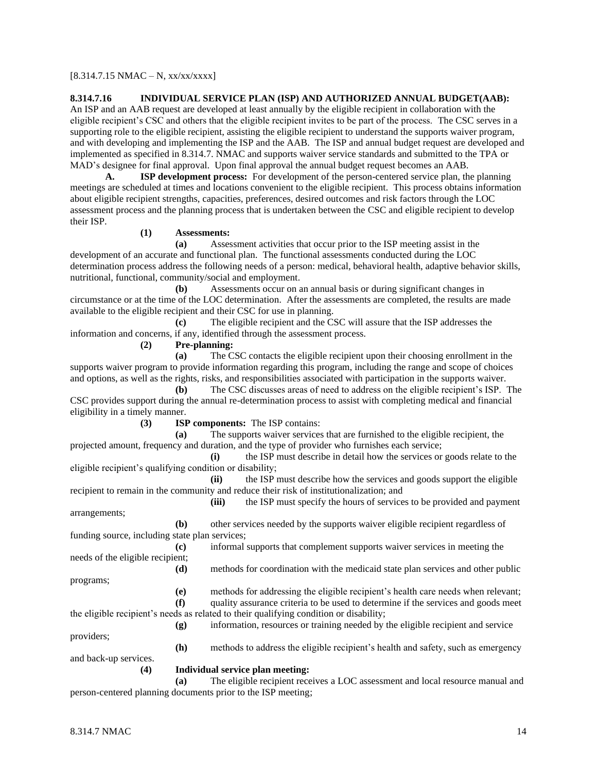#### $[8.314.7.15 NMAC - N, xx/xx/xxxx]$

#### **8.314.7.16 INDIVIDUAL SERVICE PLAN (ISP) AND AUTHORIZED ANNUAL BUDGET(AAB):**

An ISP and an AAB request are developed at least annually by the eligible recipient in collaboration with the eligible recipient's CSC and others that the eligible recipient invites to be part of the process. The CSC serves in a supporting role to the eligible recipient, assisting the eligible recipient to understand the supports waiver program, and with developing and implementing the ISP and the AAB. The ISP and annual budget request are developed and implemented as specified in 8.314.7. NMAC and supports waiver service standards and submitted to the TPA or MAD's designee for final approval. Upon final approval the annual budget request becomes an AAB.

**A. ISP development process:** For development of the person-centered service plan, the planning meetings are scheduled at times and locations convenient to the eligible recipient. This process obtains information about eligible recipient strengths, capacities, preferences, desired outcomes and risk factors through the LOC assessment process and the planning process that is undertaken between the CSC and eligible recipient to develop their ISP.

#### **(1) Assessments:**

**(a)** Assessment activities that occur prior to the ISP meeting assist in the development of an accurate and functional plan. The functional assessments conducted during the LOC determination process address the following needs of a person: medical, behavioral health, adaptive behavior skills, nutritional, functional, community/social and employment.

**(b)** Assessments occur on an annual basis or during significant changes in circumstance or at the time of the LOC determination. After the assessments are completed, the results are made available to the eligible recipient and their CSC for use in planning.

**(c)** The eligible recipient and the CSC will assure that the ISP addresses the information and concerns, if any, identified through the assessment process.

**(2) Pre-planning:**

**(a)** The CSC contacts the eligible recipient upon their choosing enrollment in the supports waiver program to provide information regarding this program, including the range and scope of choices and options, as well as the rights, risks, and responsibilities associated with participation in the supports waiver.

**(b)** The CSC discusses areas of need to address on the eligible recipient's ISP. The CSC provides support during the annual re-determination process to assist with completing medical and financial eligibility in a timely manner.

**(3) ISP components:** The ISP contains:

**(a)** The supports waiver services that are furnished to the eligible recipient, the projected amount, frequency and duration, and the type of provider who furnishes each service;

**(i)** the ISP must describe in detail how the services or goods relate to the eligible recipient's qualifying condition or disability;

**(ii)** the ISP must describe how the services and goods support the eligible recipient to remain in the community and reduce their risk of institutionalization; and

arrangements;

**(iii)** the ISP must specify the hours of services to be provided and payment

**(b)** other services needed by the supports waiver eligible recipient regardless of funding source, including state plan services;

**(c)** informal supports that complement supports waiver services in meeting the needs of the eligible recipient;

**(d)** methods for coordination with the medicaid state plan services and other public programs;

**(e)** methods for addressing the eligible recipient's health care needs when relevant;

**(f)** quality assurance criteria to be used to determine if the services and goods meet the eligible recipient's needs as related to their qualifying condition or disability;

**(g)** information, resources or training needed by the eligible recipient and service providers;

**(h)** methods to address the eligible recipient's health and safety, such as emergency

and back-up services.

**(4) Individual service plan meeting:**

**(a)** The eligible recipient receives a LOC assessment and local resource manual and person-centered planning documents prior to the ISP meeting;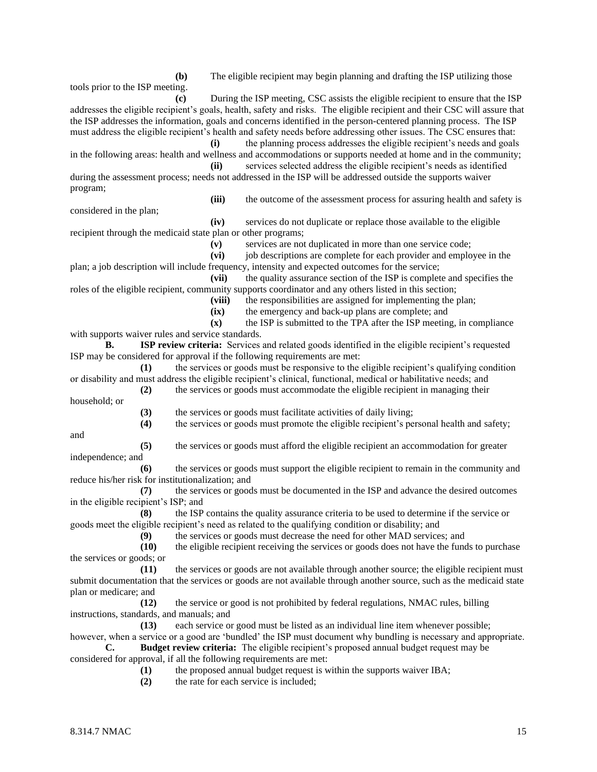**(b)** The eligible recipient may begin planning and drafting the ISP utilizing those tools prior to the ISP meeting. **(c)** During the ISP meeting, CSC assists the eligible recipient to ensure that the ISP addresses the eligible recipient's goals, health, safety and risks. The eligible recipient and their CSC will assure that

the ISP addresses the information, goals and concerns identified in the person-centered planning process. The ISP must address the eligible recipient's health and safety needs before addressing other issues. The CSC ensures that: **(i)** the planning process addresses the eligible recipient's needs and goals

in the following areas: health and wellness and accommodations or supports needed at home and in the community; **(ii)** services selected address the eligible recipient's needs as identified

during the assessment process; needs not addressed in the ISP will be addressed outside the supports waiver program;

considered in the plan;

**(iii)** the outcome of the assessment process for assuring health and safety is

**(iv)** services do not duplicate or replace those available to the eligible recipient through the medicaid state plan or other programs;

**(v)** services are not duplicated in more than one service code;

**(vi)** job descriptions are complete for each provider and employee in the plan; a job description will include frequency, intensity and expected outcomes for the service;

**(vii)** the quality assurance section of the ISP is complete and specifies the roles of the eligible recipient, community supports coordinator and any others listed in this section;

**(viii)** the responsibilities are assigned for implementing the plan;

**(ix)** the emergency and back-up plans are complete; and

**(x)** the ISP is submitted to the TPA after the ISP meeting, in compliance with supports waiver rules and service standards.

**B. ISP review criteria:** Services and related goods identified in the eligible recipient's requested ISP may be considered for approval if the following requirements are met:

**(1)** the services or goods must be responsive to the eligible recipient's qualifying condition or disability and must address the eligible recipient's clinical, functional, medical or habilitative needs; and

**(2)** the services or goods must accommodate the eligible recipient in managing their household; or

**(3)** the services or goods must facilitate activities of daily living;

- **(4)** the services or goods must promote the eligible recipient's personal health and safety;
- and
- **(5)** the services or goods must afford the eligible recipient an accommodation for greater independence; and

**(6)** the services or goods must support the eligible recipient to remain in the community and reduce his/her risk for institutionalization; and

**(7)** the services or goods must be documented in the ISP and advance the desired outcomes in the eligible recipient's ISP; and

**(8)** the ISP contains the quality assurance criteria to be used to determine if the service or goods meet the eligible recipient's need as related to the qualifying condition or disability; and

**(9)** the services or goods must decrease the need for other MAD services; and

**(10)** the eligible recipient receiving the services or goods does not have the funds to purchase the services or goods; or

**(11)** the services or goods are not available through another source; the eligible recipient must submit documentation that the services or goods are not available through another source, such as the medicaid state plan or medicare; and

**(12)** the service or good is not prohibited by federal regulations, NMAC rules, billing instructions, standards, and manuals; and

**(13)** each service or good must be listed as an individual line item whenever possible;

however, when a service or a good are 'bundled' the ISP must document why bundling is necessary and appropriate. **C. Budget review criteria:** The eligible recipient's proposed annual budget request may be

considered for approval, if all the following requirements are met:

**(1)** the proposed annual budget request is within the supports waiver IBA;

**(2)** the rate for each service is included;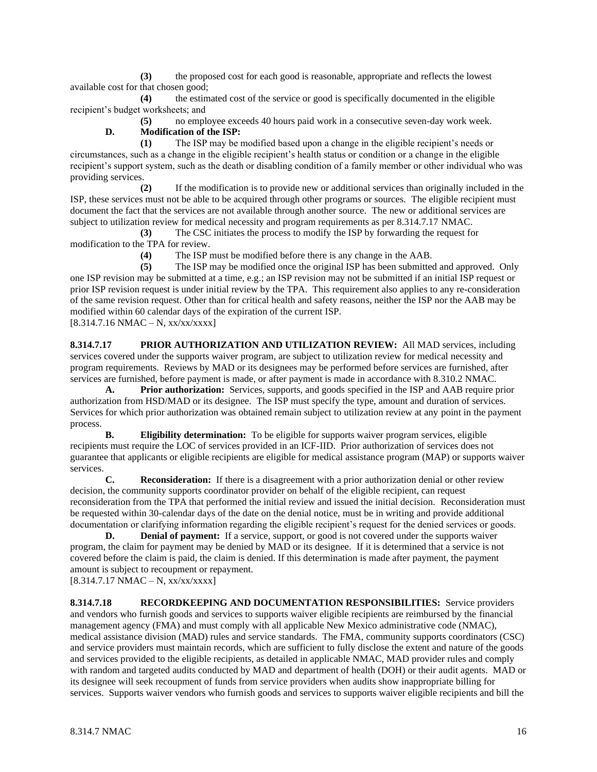**(3)** the proposed cost for each good is reasonable, appropriate and reflects the lowest available cost for that chosen good;

**(4)** the estimated cost of the service or good is specifically documented in the eligible recipient's budget worksheets; and

**(5)** no employee exceeds 40 hours paid work in a consecutive seven-day work week. **D. Modification of the ISP:**

**(1)** The ISP may be modified based upon a change in the eligible recipient's needs or circumstances, such as a change in the eligible recipient's health status or condition or a change in the eligible recipient's support system, such as the death or disabling condition of a family member or other individual who was providing services.

**(2)** If the modification is to provide new or additional services than originally included in the ISP, these services must not be able to be acquired through other programs or sources. The eligible recipient must document the fact that the services are not available through another source. The new or additional services are subject to utilization review for medical necessity and program requirements as per 8.314.7.17 NMAC.

**(3)** The CSC initiates the process to modify the ISP by forwarding the request for modification to the TPA for review.

**(4)** The ISP must be modified before there is any change in the AAB.

**(5)** The ISP may be modified once the original ISP has been submitted and approved. Only one ISP revision may be submitted at a time, e.g.; an ISP revision may not be submitted if an initial ISP request or prior ISP revision request is under initial review by the TPA. This requirement also applies to any re-consideration of the same revision request. Other than for critical health and safety reasons, neither the ISP nor the AAB may be modified within 60 calendar days of the expiration of the current ISP.

 $[8.314.7.16 \text{ NMAC} - \text{N}, \frac{xx}{xx} \times xx]$ 

**8.314.7.17 PRIOR AUTHORIZATION AND UTILIZATION REVIEW:** All MAD services, including services covered under the supports waiver program, are subject to utilization review for medical necessity and program requirements. Reviews by MAD or its designees may be performed before services are furnished, after services are furnished, before payment is made, or after payment is made in accordance with 8.310.2 NMAC.

**A. Prior authorization:** Services, supports, and goods specified in the ISP and AAB require prior authorization from HSD/MAD or its designee. The ISP must specify the type, amount and duration of services. Services for which prior authorization was obtained remain subject to utilization review at any point in the payment process.

**B. Eligibility determination:** To be eligible for supports waiver program services, eligible recipients must require the LOC of services provided in an ICF-IID. Prior authorization of services does not guarantee that applicants or eligible recipients are eligible for medical assistance program (MAP) or supports waiver services.

**C. Reconsideration:** If there is a disagreement with a prior authorization denial or other review decision, the community supports coordinator provider on behalf of the eligible recipient, can request reconsideration from the TPA that performed the initial review and issued the initial decision. Reconsideration must be requested within 30-calendar days of the date on the denial notice, must be in writing and provide additional documentation or clarifying information regarding the eligible recipient's request for the denied services or goods.

**D. Denial of payment:** If a service, support, or good is not covered under the supports waiver program, the claim for payment may be denied by MAD or its designee. If it is determined that a service is not covered before the claim is paid, the claim is denied. If this determination is made after payment, the payment amount is subject to recoupment or repayment.

 $[8.314.7.17 \text{ NMAC} - \text{N} \text{, } x \text{x} / x \text{x} \text{x} \text{x} \text{x}]$ 

**8.314.7.18 RECORDKEEPING AND DOCUMENTATION RESPONSIBILITIES:** Service providers and vendors who furnish goods and services to supports waiver eligible recipients are reimbursed by the financial management agency (FMA) and must comply with all applicable New Mexico administrative code (NMAC), medical assistance division (MAD) rules and service standards. The FMA, community supports coordinators (CSC) and service providers must maintain records, which are sufficient to fully disclose the extent and nature of the goods and services provided to the eligible recipients, as detailed in applicable NMAC, MAD provider rules and comply with random and targeted audits conducted by MAD and department of health (DOH) or their audit agents. MAD or its designee will seek recoupment of funds from service providers when audits show inappropriate billing for services. Supports waiver vendors who furnish goods and services to supports waiver eligible recipients and bill the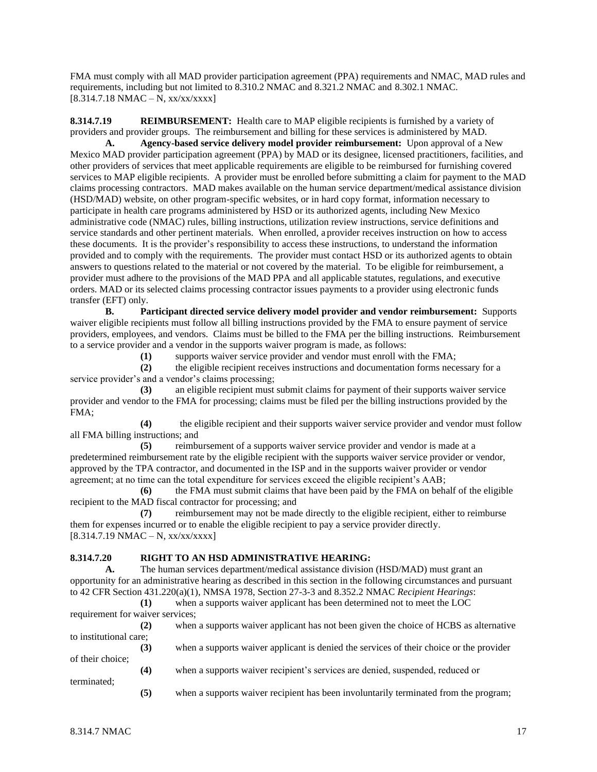FMA must comply with all MAD provider participation agreement (PPA) requirements and NMAC, MAD rules and requirements, including but not limited to 8.310.2 NMAC and 8.321.2 NMAC and 8.302.1 NMAC.  $[8.314.7.18 \text{ NMAC} - \text{N}, \text{xx}/\text{xx}/\text{xx} \text{x}]$ 

**8.314.7.19 REIMBURSEMENT:** Health care to MAP eligible recipients is furnished by a variety of providers and provider groups. The reimbursement and billing for these services is administered by MAD.

**A. Agency-based service delivery model provider reimbursement:** Upon approval of a New Mexico MAD provider participation agreement (PPA) by MAD or its designee, licensed practitioners, facilities, and other providers of services that meet applicable requirements are eligible to be reimbursed for furnishing covered services to MAP eligible recipients. A provider must be enrolled before submitting a claim for payment to the MAD claims processing contractors. MAD makes available on the human service department/medical assistance division (HSD/MAD) website, on other program-specific websites, or in hard copy format, information necessary to participate in health care programs administered by HSD or its authorized agents, including New Mexico administrative code (NMAC) rules, billing instructions, utilization review instructions, service definitions and service standards and other pertinent materials. When enrolled, a provider receives instruction on how to access these documents. It is the provider's responsibility to access these instructions, to understand the information provided and to comply with the requirements. The provider must contact HSD or its authorized agents to obtain answers to questions related to the material or not covered by the material. To be eligible for reimbursement, a provider must adhere to the provisions of the MAD PPA and all applicable statutes, regulations, and executive orders. MAD or its selected claims processing contractor issues payments to a provider using electronic funds transfer (EFT) only.

**B. Participant directed service delivery model provider and vendor reimbursement:** Supports waiver eligible recipients must follow all billing instructions provided by the FMA to ensure payment of service providers, employees, and vendors. Claims must be billed to the FMA per the billing instructions. Reimbursement to a service provider and a vendor in the supports waiver program is made, as follows:

**(1)** supports waiver service provider and vendor must enroll with the FMA;

**(2)** the eligible recipient receives instructions and documentation forms necessary for a service provider's and a vendor's claims processing;

**(3)** an eligible recipient must submit claims for payment of their supports waiver service provider and vendor to the FMA for processing; claims must be filed per the billing instructions provided by the FMA;

**(4)** the eligible recipient and their supports waiver service provider and vendor must follow all FMA billing instructions; and

**(5)** reimbursement of a supports waiver service provider and vendor is made at a predetermined reimbursement rate by the eligible recipient with the supports waiver service provider or vendor, approved by the TPA contractor, and documented in the ISP and in the supports waiver provider or vendor agreement; at no time can the total expenditure for services exceed the eligible recipient's AAB;

**(6)** the FMA must submit claims that have been paid by the FMA on behalf of the eligible recipient to the MAD fiscal contractor for processing; and

**(7)** reimbursement may not be made directly to the eligible recipient, either to reimburse them for expenses incurred or to enable the eligible recipient to pay a service provider directly.  $[8.314.7.19 \text{ NMAC} - \text{N}, \frac{XX}{XX} \text{XXX}]$ 

## **8.314.7.20 RIGHT TO AN HSD ADMINISTRATIVE HEARING:**

**A.** The human services department/medical assistance division (HSD/MAD) must grant an opportunity for an administrative hearing as described in this section in the following circumstances and pursuant to 42 CFR Section 431.220(a)(1), NMSA 1978, Section 27-3-3 and 8.352.2 NMAC *Recipient Hearings*:

**(1)** when a supports waiver applicant has been determined not to meet the LOC requirement for waiver services;

**(2)** when a supports waiver applicant has not been given the choice of HCBS as alternative to institutional care; **(3)** when a supports waiver applicant is denied the services of their choice or the provider of their choice; **(4)** when a supports waiver recipient's services are denied, suspended, reduced or terminated; **(5)** when a supports waiver recipient has been involuntarily terminated from the program;